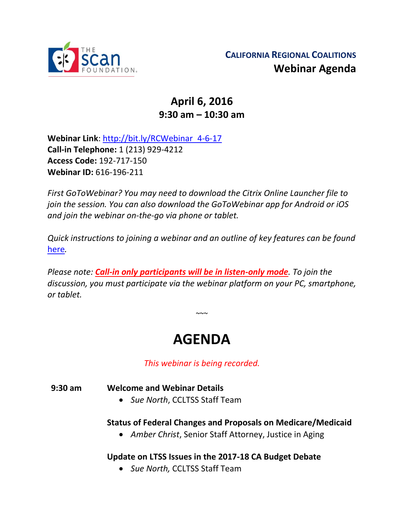

## **April 6, 2016 9:30 am – 10:30 am**

**Webinar Link**: [http://bit.ly/RCWebinar\\_4-6-17](http://bit.ly/RCWebinar_4-6-17) **Call-in Telephone:** 1 (213) 929-4212 **Access Code:** 192-717-150 **Webinar ID:** 616-196-211

*First GoToWebinar? You may need to download the Citrix Online Launcher file to join the session. You can also download the GoToWebinar app for Android or iOS and join the webinar on-the-go via phone or tablet.* 

*Quick instructions to joining a webinar and an outline of key features can be found*  [here](http://thescanfoundationsummit.homestead.com/GoToWebinar_Participant_Guide_3.pdf)*.*

*Please note: Call-in only participants will be in listen-only mode. To join the discussion, you must participate via the webinar platform on your PC, smartphone, or tablet.* 

# **AGENDA**

 $\sim$   $\sim$ 

*This webinar is being recorded.*

**9:30 am Welcome and Webinar Details**

• *Sue North*, CCLTSS Staff Team

#### **Status of Federal Changes and Proposals on Medicare/Medicaid**

• *Amber Christ*, Senior Staff Attorney, Justice in Aging

### **Update on LTSS Issues in the 2017-18 CA Budget Debate**

• *Sue North,* CCLTSS Staff Team